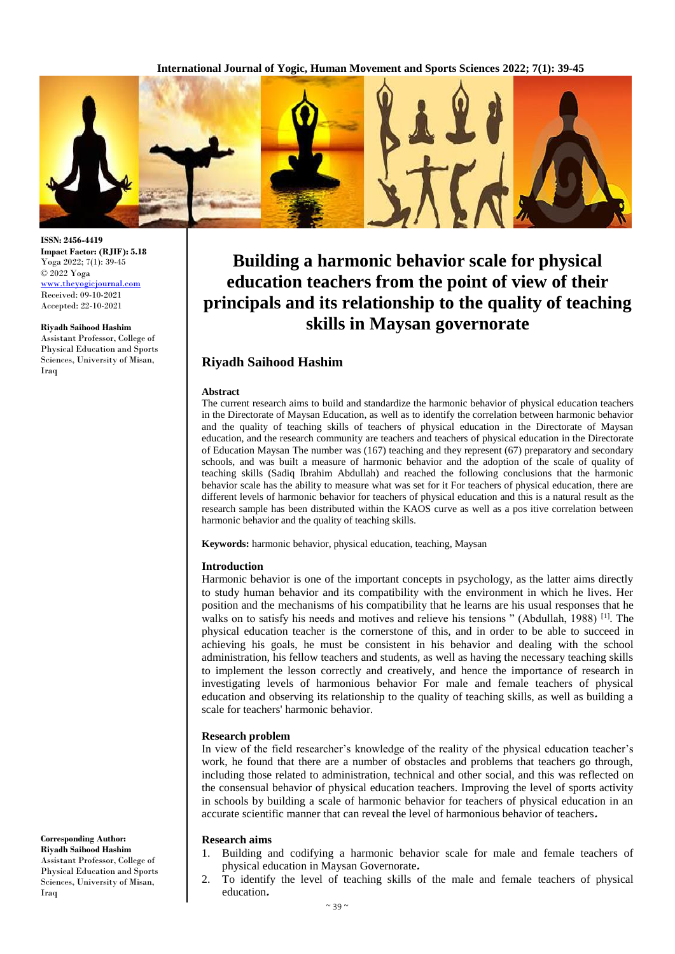

# **Building a harmonic behavior scale for physical education teachers from the point of view of their principals and its relationship to the quality of teaching skills in Maysan governorate**

# **Riyadh Saihood Hashim**

#### **Abstract**

The current research aims to build and standardize the harmonic behavior of physical education teachers in the Directorate of Maysan Education, as well as to identify the correlation between harmonic behavior and the quality of teaching skills of teachers of physical education in the Directorate of Maysan education, and the research community are teachers and teachers of physical education in the Directorate of Education Maysan The number was (167) teaching and they represent (67) preparatory and secondary schools, and was built a measure of harmonic behavior and the adoption of the scale of quality of teaching skills (Sadiq Ibrahim Abdullah) and reached the following conclusions that the harmonic behavior scale has the ability to measure what was set for it For teachers of physical education, there are different levels of harmonic behavior for teachers of physical education and this is a natural result as the research sample has been distributed within the KAOS curve as well as a pos itive correlation between harmonic behavior and the quality of teaching skills.

**Keywords:** harmonic behavior, physical education, teaching, Maysan

#### **Introduction**

Harmonic behavior is one of the important concepts in psychology, as the latter aims directly to study human behavior and its compatibility with the environment in which he lives. Her position and the mechanisms of his compatibility that he learns are his usual responses that he walks on to satisfy his needs and motives and relieve his tensions " (Abdullah, 1988)<sup>[1]</sup>. The physical education teacher is the cornerstone of this, and in order to be able to succeed in achieving his goals, he must be consistent in his behavior and dealing with the school administration, his fellow teachers and students, as well as having the necessary teaching skills to implement the lesson correctly and creatively, and hence the importance of research in investigating levels of harmonious behavior For male and female teachers of physical education and observing its relationship to the quality of teaching skills, as well as building a scale for teachers' harmonic behavior.

#### **Research problem**

In view of the field researcher's knowledge of the reality of the physical education teacher's work, he found that there are a number of obstacles and problems that teachers go through, including those related to administration, technical and other social, and this was reflected on the consensual behavior of physical education teachers. Improving the level of sports activity in schools by building a scale of harmonic behavior for teachers of physical education in an accurate scientific manner that can reveal the level of harmonious behavior of teachers**.**

## **Research aims**

- 1. Building and codifying a harmonic behavior scale for male and female teachers of physical education in Maysan Governorate**.**
- 2. To identify the level of teaching skills of the male and female teachers of physical education**.**

**Riyadh Saihood Hashim** Assistant Professor, College of Physical Education and Sports Sciences, University of Misan, Iraq

**Corresponding Author:**

**ISSN: 2456-4419**

**Impact Factor: (RJIF): 5.18** Yoga 2022; 7(1): 39-45 © 2022 Yoga

<www.theyogicjournal.com> Received: 09-10-2021 Accepted: 22-10-2021

**Riyadh Saihood Hashim** Assistant Professor, College of Physical Education and Sports Sciences, University of Misan,

Iraq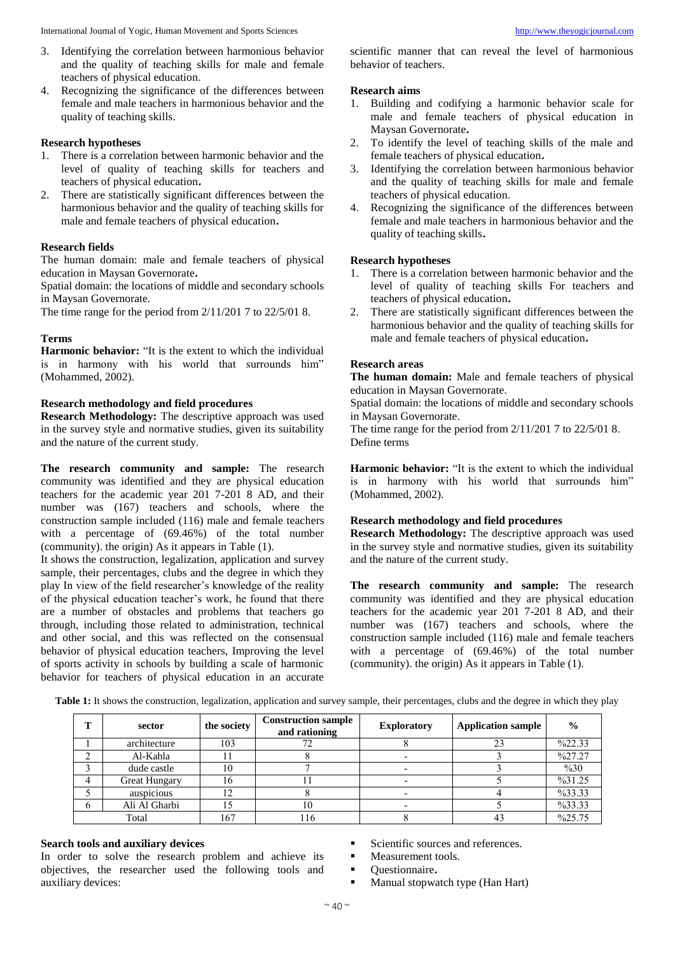- 3. Identifying the correlation between harmonious behavior and the quality of teaching skills for male and female teachers of physical education.
- 4. Recognizing the significance of the differences between female and male teachers in harmonious behavior and the quality of teaching skills.

## **Research hypotheses**

- There is a correlation between harmonic behavior and the level of quality of teaching skills for teachers and teachers of physical education**.**
- 2. There are statistically significant differences between the harmonious behavior and the quality of teaching skills for male and female teachers of physical education**.**

## **Research fields**

The human domain: male and female teachers of physical education in Maysan Governorate**.**

Spatial domain: the locations of middle and secondary schools in Maysan Governorate.

The time range for the period from 2/11/201 7 to 22/5/01 8.

## **Terms**

**Harmonic behavior:** "It is the extent to which the individual is in harmony with his world that surrounds him" (Mohammed, 2002).

## **Research methodology and field procedures**

**Research Methodology:** The descriptive approach was used in the survey style and normative studies, given its suitability and the nature of the current study.

**The research community and sample:** The research community was identified and they are physical education teachers for the academic year 201 7-201 8 AD, and their number was (167) teachers and schools, where the construction sample included (116) male and female teachers with a percentage of (69.46%) of the total number (community). the origin) As it appears in Table (1).

It shows the construction, legalization, application and survey sample, their percentages, clubs and the degree in which they play In view of the field researcher's knowledge of the reality of the physical education teacher's work, he found that there are a number of obstacles and problems that teachers go through, including those related to administration, technical and other social, and this was reflected on the consensual behavior of physical education teachers, Improving the level of sports activity in schools by building a scale of harmonic behavior for teachers of physical education in an accurate scientific manner that can reveal the level of harmonious behavior of teachers.

## **Research aims**

- 1. Building and codifying a harmonic behavior scale for male and female teachers of physical education in Maysan Governorate**.**
- 2. To identify the level of teaching skills of the male and female teachers of physical education**.**
- 3. Identifying the correlation between harmonious behavior and the quality of teaching skills for male and female teachers of physical education.
- 4. Recognizing the significance of the differences between female and male teachers in harmonious behavior and the quality of teaching skills**.**

#### **Research hypotheses**

- There is a correlation between harmonic behavior and the level of quality of teaching skills For teachers and teachers of physical education**.**
- 2. There are statistically significant differences between the harmonious behavior and the quality of teaching skills for male and female teachers of physical education**.**

# **Research areas**

**The human domain:** Male and female teachers of physical education in Maysan Governorate.

Spatial domain: the locations of middle and secondary schools in Maysan Governorate.

The time range for the period from 2/11/201 7 to 22/5/01 8. Define terms

**Harmonic behavior:** "It is the extent to which the individual is in harmony with his world that surrounds him" (Mohammed, 2002).

## **Research methodology and field procedures**

**Research Methodology:** The descriptive approach was used in the survey style and normative studies, given its suitability and the nature of the current study.

**The research community and sample:** The research community was identified and they are physical education teachers for the academic year 201 7-201 8 AD, and their number was (167) teachers and schools, where the construction sample included (116) male and female teachers with a percentage of  $(69.46\%)$  of the total number (community). the origin) As it appears in Table (1).

| т            | sector               | the society | <b>Construction sample</b><br>and rationing | <b>Exploratory</b> | <b>Application sample</b> | $\frac{0}{0}$      |
|--------------|----------------------|-------------|---------------------------------------------|--------------------|---------------------------|--------------------|
|              | architecture         | 103         |                                             |                    | 23                        | $\frac{622.33}{ }$ |
|              | Al-Kahla             |             |                                             |                    |                           | %27.27             |
|              | dude castle          | 10          |                                             |                    |                           | $\%30$             |
| 4            | <b>Great Hungary</b> | lб          |                                             |                    |                           | %31.25             |
|              | auspicious           | 12          |                                             |                    |                           | %33.33             |
| <sub>0</sub> | Ali Al Gharbi        |             | 10                                          |                    |                           | %33.33             |
|              | Total                | 167         | 16                                          |                    |                           | %25.75             |

**Table 1:** It shows the construction, legalization, application and survey sample, their percentages, clubs and the degree in which they play

# **Search tools and auxiliary devices**

In order to solve the research problem and achieve its objectives, the researcher used the following tools and auxiliary devices:

- Scientific sources and references.
- Measurement tools.
- Questionnaire**.**
- **Manual stopwatch type (Han Hart)**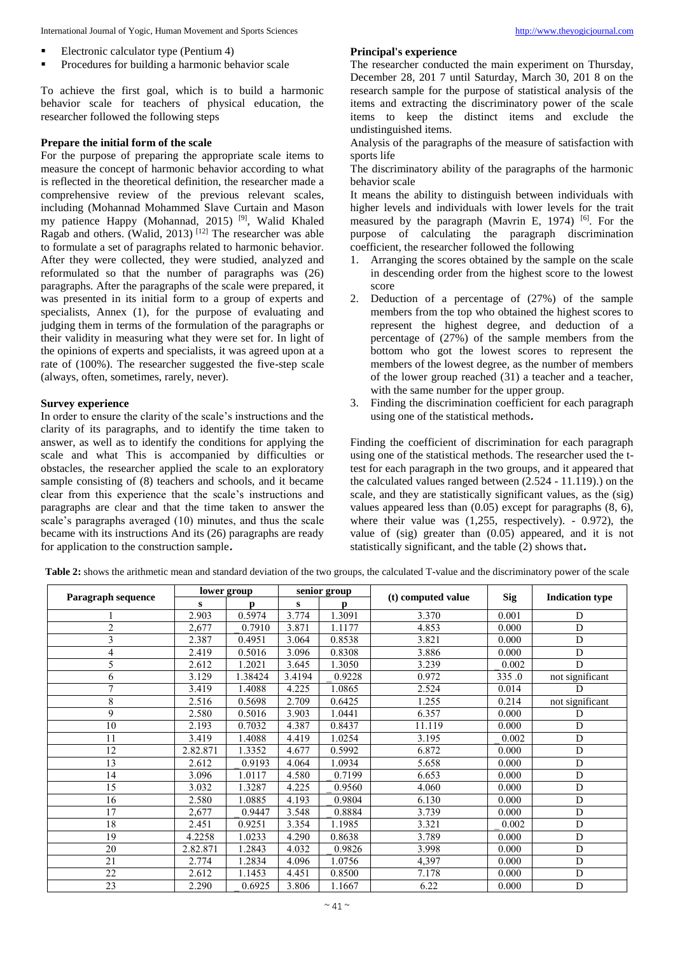International Journal of Yogic, Human Movement and Sports Sciences [http://www.theyogicjournal.com](http://www.theyogicjournal.com/)

- Electronic calculator type (Pentium 4)
- Procedures for building a harmonic behavior scale

To achieve the first goal, which is to build a harmonic behavior scale for teachers of physical education, the researcher followed the following steps

## **Prepare the initial form of the scale**

For the purpose of preparing the appropriate scale items to measure the concept of harmonic behavior according to what is reflected in the theoretical definition, the researcher made a comprehensive review of the previous relevant scales, including (Mohannad Mohammed Slave Curtain and Mason my patience Happy (Mohannad, 2015)<sup>[9]</sup>, Walid Khaled Ragab and others. (Walid, 2013)  $[12]$  The researcher was able to formulate a set of paragraphs related to harmonic behavior. After they were collected, they were studied, analyzed and reformulated so that the number of paragraphs was (26) paragraphs. After the paragraphs of the scale were prepared, it was presented in its initial form to a group of experts and specialists, Annex (1), for the purpose of evaluating and judging them in terms of the formulation of the paragraphs or their validity in measuring what they were set for. In light of the opinions of experts and specialists, it was agreed upon at a rate of (100%). The researcher suggested the five-step scale (always, often, sometimes, rarely, never).

#### **Survey experience**

In order to ensure the clarity of the scale's instructions and the clarity of its paragraphs, and to identify the time taken to answer, as well as to identify the conditions for applying the scale and what This is accompanied by difficulties or obstacles, the researcher applied the scale to an exploratory sample consisting of (8) teachers and schools, and it became clear from this experience that the scale's instructions and paragraphs are clear and that the time taken to answer the scale's paragraphs averaged (10) minutes, and thus the scale became with its instructions And its (26) paragraphs are ready for application to the construction sample**.**

## **Principal's experience**

The researcher conducted the main experiment on Thursday, December 28, 201 7 until Saturday, March 30, 201 8 on the research sample for the purpose of statistical analysis of the items and extracting the discriminatory power of the scale items to keep the distinct items and exclude the undistinguished items.

Analysis of the paragraphs of the measure of satisfaction with sports life

The discriminatory ability of the paragraphs of the harmonic behavior scale

It means the ability to distinguish between individuals with higher levels and individuals with lower levels for the trait measured by the paragraph (Mavrin E, 1974)  $[6]$ . For the purpose of calculating the paragraph discrimination coefficient, the researcher followed the following

- 1. Arranging the scores obtained by the sample on the scale in descending order from the highest score to the lowest score
- 2. Deduction of a percentage of (27%) of the sample members from the top who obtained the highest scores to represent the highest degree, and deduction of a percentage of (27%) of the sample members from the bottom who got the lowest scores to represent the members of the lowest degree, as the number of members of the lower group reached (31) a teacher and a teacher, with the same number for the upper group.
- 3. Finding the discrimination coefficient for each paragraph using one of the statistical methods**.**

Finding the coefficient of discrimination for each paragraph using one of the statistical methods. The researcher used the ttest for each paragraph in the two groups, and it appeared that the calculated values ranged between (2.524 - 11.119).) on the scale, and they are statistically significant values, as the (sig) values appeared less than (0.05) except for paragraphs (8, 6), where their value was  $(1,255,$  respectively).  $-0.972$ , the value of (sig) greater than (0.05) appeared, and it is not statistically significant, and the table (2) shows that**.**

| Paragraph sequence |          | lower group |        | senior group | (t) computed value | <b>Sig</b> | <b>Indication type</b> |
|--------------------|----------|-------------|--------|--------------|--------------------|------------|------------------------|
|                    | s        | p           | s      | p            |                    |            |                        |
|                    | 2.903    | 0.5974      | 3.774  | 1.3091       | 3.370              | 0.001      | D                      |
| $\overline{2}$     | 2,677    | 0.7910      | 3.871  | 1.1177       | 4.853              | 0.000      | D                      |
| 3                  | 2.387    | 0.4951      | 3.064  | 0.8538       | 3.821              | 0.000      | D                      |
| 4                  | 2.419    | 0.5016      | 3.096  | 0.8308       | 3.886              | 0.000      | D                      |
| 5                  | 2.612    | 1.2021      | 3.645  | 1.3050       | 3.239              | 0.002      | D                      |
| 6                  | 3.129    | 1.38424     | 3.4194 | 0.9228       | 0.972              | 335.0      | not significant        |
| 7                  | 3.419    | 1.4088      | 4.225  | 1.0865       | 2.524              | 0.014      | D                      |
| 8                  | 2.516    | 0.5698      | 2.709  | 0.6425       | 1.255              | 0.214      | not significant        |
| 9                  | 2.580    | 0.5016      | 3.903  | 1.0441       | 6.357              | 0.000      | D                      |
| 10                 | 2.193    | 0.7032      | 4.387  | 0.8437       | 11.119             | 0.000      | D                      |
| 11                 | 3.419    | 1.4088      | 4.419  | 1.0254       | 3.195              | 0.002      | D                      |
| 12                 | 2.82.871 | 1.3352      | 4.677  | 0.5992       | 6.872              | 0.000      | D                      |
| 13                 | 2.612    | 0.9193      | 4.064  | 1.0934       | 5.658              | 0.000      | D                      |
| 14                 | 3.096    | 1.0117      | 4.580  | 0.7199       | 6.653              | 0.000      | D                      |
| 15                 | 3.032    | 1.3287      | 4.225  | 0.9560       | 4.060              | 0.000      | D                      |
| 16                 | 2.580    | 1.0885      | 4.193  | 0.9804       | 6.130              | 0.000      | D                      |
| 17                 | 2,677    | 0.9447      | 3.548  | 0.8884       | 3.739              | 0.000      | D                      |
| 18                 | 2.451    | 0.9251      | 3.354  | 1.1985       | 3.321              | 0.002      | D                      |
| 19                 | 4.2258   | 1.0233      | 4.290  | 0.8638       | 3.789              | 0.000      | D                      |
| 20                 | 2.82.871 | 1.2843      | 4.032  | 0.9826       | 3.998              | 0.000      | D                      |
| 21                 | 2.774    | 1.2834      | 4.096  | 1.0756       | 4,397              | 0.000      | D                      |
| 22                 | 2.612    | 1.1453      | 4.451  | 0.8500       | 7.178              | 0.000      | D                      |
| 23                 | 2.290    | 0.6925      | 3.806  | 1.1667       | 6.22               | 0.000      | D                      |

**Table 2:** shows the arithmetic mean and standard deviation of the two groups, the calculated T-value and the discriminatory power of the scale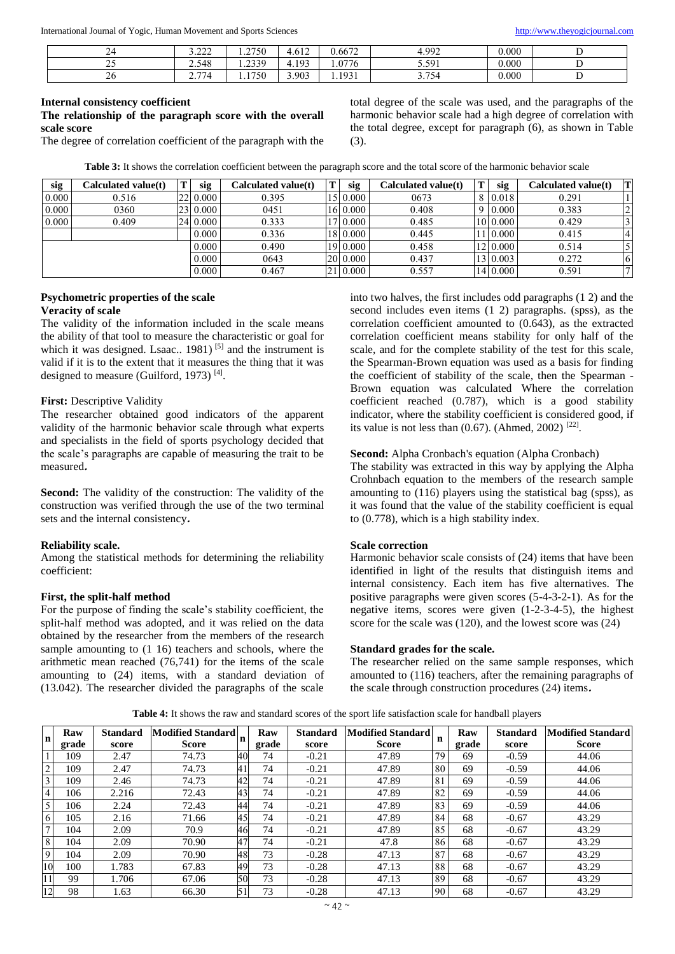International Journal of Yogic, Human Movement and Sports Sciences [http://www.theyogicjournal.com](http://www.theyogicjournal.com/)

| 24                    | 2.22<br>---- | 1.2750           | (10)<br>$4.01\text{ }$ | 0.6672  | 4.992                 | 0.000 |   |
|-----------------------|--------------|------------------|------------------------|---------|-----------------------|-------|---|
| $\sim$ $\sim$<br>ت سے | 2.548        | 2330<br>ر ر_ر__  | 103<br>4<br>T.IノJ      | . .0776 | 5.591<br>J.JJ 1       | 0.000 |   |
| $\angle 0$            | 774<br>، ، ، | 1750<br>$\cdots$ | 3.903                  | 1.1931  | 3 754<br><u>J.IJT</u> | 0.000 | - |

#### **Internal consistency coefficient The relationship of the paragraph score with the overall scale score**

The degree of correlation coefficient of the paragraph with the

total degree of the scale was used, and the paragraphs of the harmonic behavior scale had a high degree of correlation with the total degree, except for paragraph (6), as shown in Table (3).

| Table 3: It shows the correlation coefficient between the paragraph score and the total score of the harmonic behavior scale |  |  |  |
|------------------------------------------------------------------------------------------------------------------------------|--|--|--|
|------------------------------------------------------------------------------------------------------------------------------|--|--|--|

| sig   | Calculated value(t) | sig      | Calculated value(t) | $\mathsf{I}$ | sig      | Calculated value(t) | sig      | Calculated value(t) | IТ |
|-------|---------------------|----------|---------------------|--------------|----------|---------------------|----------|---------------------|----|
| 0.000 | 0.516               | 22 0.000 | 0.395               |              | 15 0.000 | 0673                | 8 0.018  | 0.291               |    |
| 0.000 | 0360                | 23 0.000 | 0451                |              | 16 0.000 | 0.408               | 0.000    | 0.383               |    |
| 0.000 | 0.409               | 24 0.000 | 0.333               |              | 0.000    | 0.485               | 10 0.000 | 0.429               |    |
|       |                     | 0.000    | 0.336               |              | 18 0.000 | 0.445               | 11 0.000 | 0.415               |    |
|       |                     | 0.000    | 0.490               |              | 19 0.000 | 0.458               | 12 0.000 | 0.514               |    |
|       |                     | 0.000    | 0643                | <b>20</b>    | 0.000    | 0.437               | 13 0.003 | 0.272               |    |
|       |                     | 0.000    | 0.467               | 21           | 0.000    | 0.557               | 14 0.000 | 0.591               |    |

## **Psychometric properties of the scale Veracity of scale**

The validity of the information included in the scale means the ability of that tool to measure the characteristic or goal for which it was designed. Lsaac..  $1981$ )<sup>[5]</sup> and the instrument is valid if it is to the extent that it measures the thing that it was designed to measure (Guilford, 1973)<sup>[4]</sup>.

# **First:** Descriptive Validity

The researcher obtained good indicators of the apparent validity of the harmonic behavior scale through what experts and specialists in the field of sports psychology decided that the scale's paragraphs are capable of measuring the trait to be measured**.**

**Second:** The validity of the construction: The validity of the construction was verified through the use of the two terminal sets and the internal consistency**.**

# **Reliability scale.**

Among the statistical methods for determining the reliability coefficient:

# **First, the split-half method**

For the purpose of finding the scale's stability coefficient, the split-half method was adopted, and it was relied on the data obtained by the researcher from the members of the research sample amounting to (1 16) teachers and schools, where the arithmetic mean reached (76,741) for the items of the scale amounting to (24) items, with a standard deviation of (13.042). The researcher divided the paragraphs of the scale into two halves, the first includes odd paragraphs (1 2) and the second includes even items (1 2) paragraphs. (spss), as the correlation coefficient amounted to (0.643), as the extracted correlation coefficient means stability for only half of the scale, and for the complete stability of the test for this scale, the Spearman-Brown equation was used as a basis for finding the coefficient of stability of the scale, then the Spearman - Brown equation was calculated Where the correlation coefficient reached (0.787), which is a good stability indicator, where the stability coefficient is considered good, if its value is not less than  $(0.67)$ . (Ahmed, 2002)<sup>[22]</sup>.

# **Second:** Alpha Cronbach's equation (Alpha Cronbach)

The stability was extracted in this way by applying the Alpha Crohnbach equation to the members of the research sample amounting to (116) players using the statistical bag (spss), as it was found that the value of the stability coefficient is equal to (0.778), which is a high stability index.

# **Scale correction**

Harmonic behavior scale consists of (24) items that have been identified in light of the results that distinguish items and internal consistency. Each item has five alternatives. The positive paragraphs were given scores (5-4-3-2-1). As for the negative items, scores were given (1-2-3-4-5), the highest score for the scale was (120), and the lowest score was (24)

## **Standard grades for the scale.**

The researcher relied on the same sample responses, which amounted to (116) teachers, after the remaining paragraphs of the scale through construction procedures (24) items**.**

**Table 4:** It shows the raw and standard scores of the sport life satisfaction scale for handball players

| l n            | Raw   | <b>Standard</b> | <b>Modified Standard</b> | In | Raw   | <b>Standard</b> | <b>Modified Standard</b> | n  | Raw   | <b>Standard</b> | <b>Modified Standard</b> |
|----------------|-------|-----------------|--------------------------|----|-------|-----------------|--------------------------|----|-------|-----------------|--------------------------|
|                | grade | score           | <b>Score</b>             |    | grade | score           | <b>Score</b>             |    | grade | score           | <b>Score</b>             |
|                | 109   | 2.47            | 74.73                    | 40 | 74    | $-0.21$         | 47.89                    | 79 | 69    | $-0.59$         | 44.06                    |
| $\overline{2}$ | 109   | 2.47            | 74.73                    | 41 | 74    | $-0.21$         | 47.89                    | 80 | 69    | $-0.59$         | 44.06                    |
| 3              | 109   | 2.46            | 74.73                    | 42 | 74    | $-0.21$         | 47.89                    | 81 | 69    | $-0.59$         | 44.06                    |
| $\overline{4}$ | 106   | 2.216           | 72.43                    | 43 | 74    | $-0.21$         | 47.89                    | 82 | 69    | $-0.59$         | 44.06                    |
| 5 <sup>1</sup> | 106   | 2.24            | 72.43                    | 44 | 74    | $-0.21$         | 47.89                    | 83 | 69    | $-0.59$         | 44.06                    |
| 6              | 105   | 2.16            | 71.66                    | 45 | 74    | $-0.21$         | 47.89                    | 84 | 68    | $-0.67$         | 43.29                    |
| $\mathbf{r}$   | 104   | 2.09            | 70.9                     | 46 | 74    | $-0.21$         | 47.89                    | 85 | 68    | $-0.67$         | 43.29                    |
| 8              | 104   | 2.09            | 70.90                    | 47 | 74    | $-0.21$         | 47.8                     | 86 | 68    | $-0.67$         | 43.29                    |
| 9              | 104   | 2.09            | 70.90                    | 48 | 73    | $-0.28$         | 47.13                    | 87 | 68    | $-0.67$         | 43.29                    |
| 10             | 100   | 1.783           | 67.83                    | 49 | 73    | $-0.28$         | 47.13                    | 88 | 68    | $-0.67$         | 43.29                    |
| 11             | 99    | 1.706           | 67.06                    | 50 | 73    | $-0.28$         | 47.13                    | 89 | 68    | $-0.67$         | 43.29                    |
| 12             | 98    | 1.63            | 66.30                    | 51 | 73    | $-0.28$         | 47.13                    | 90 | 68    | $-0.67$         | 43.29                    |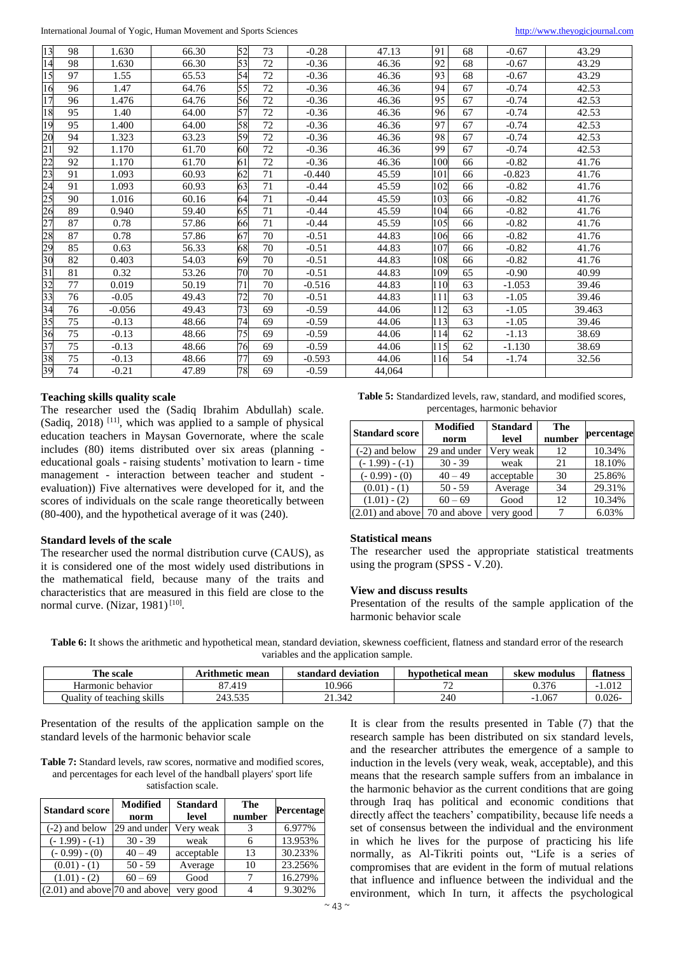International Journal of Yogic, Human Movement and Sports Sciences [http://www.theyogicjournal.com](http://www.theyogicjournal.com/)

| 13              | 98 | 1.630    | 66.30 | 52 | 73 | $-0.28$  | 47.13  | 91  | 68 | $-0.67$  | 43.29  |
|-----------------|----|----------|-------|----|----|----------|--------|-----|----|----------|--------|
| 14              | 98 | 1.630    | 66.30 | 53 | 72 | $-0.36$  | 46.36  | 92  | 68 | $-0.67$  | 43.29  |
| 15              | 97 | 1.55     | 65.53 | 54 | 72 | $-0.36$  | 46.36  | 93  | 68 | $-0.67$  | 43.29  |
| 16              | 96 | 1.47     | 64.76 | 55 | 72 | $-0.36$  | 46.36  | 94  | 67 | $-0.74$  | 42.53  |
| 17              | 96 | 1.476    | 64.76 | 56 | 72 | $-0.36$  | 46.36  | 95  | 67 | $-0.74$  | 42.53  |
| 18              | 95 | 1.40     | 64.00 | 57 | 72 | $-0.36$  | 46.36  | 96  | 67 | $-0.74$  | 42.53  |
| 19              | 95 | 1.400    | 64.00 | 58 | 72 | $-0.36$  | 46.36  | 97  | 67 | $-0.74$  | 42.53  |
| 20              | 94 | 1.323    | 63.23 | 59 | 72 | $-0.36$  | 46.36  | 98  | 67 | $-0.74$  | 42.53  |
| $\overline{21}$ | 92 | 1.170    | 61.70 | 60 | 72 | $-0.36$  | 46.36  | 99  | 67 | $-0.74$  | 42.53  |
| $\overline{22}$ | 92 | 1.170    | 61.70 | 61 | 72 | $-0.36$  | 46.36  | 100 | 66 | $-0.82$  | 41.76  |
| 23              | 91 | 1.093    | 60.93 | 62 | 71 | $-0.440$ | 45.59  | 101 | 66 | $-0.823$ | 41.76  |
| 24              | 91 | 1.093    | 60.93 | 63 | 71 | $-0.44$  | 45.59  | 102 | 66 | $-0.82$  | 41.76  |
| 25              | 90 | 1.016    | 60.16 | 64 | 71 | $-0.44$  | 45.59  | 103 | 66 | $-0.82$  | 41.76  |
| 26              | 89 | 0.940    | 59.40 | 65 | 71 | $-0.44$  | 45.59  | 104 | 66 | $-0.82$  | 41.76  |
| 27              | 87 | 0.78     | 57.86 | 66 | 71 | $-0.44$  | 45.59  | 105 | 66 | $-0.82$  | 41.76  |
| 28              | 87 | 0.78     | 57.86 | 67 | 70 | $-0.51$  | 44.83  | 106 | 66 | $-0.82$  | 41.76  |
| 29              | 85 | 0.63     | 56.33 | 68 | 70 | $-0.51$  | 44.83  | 107 | 66 | $-0.82$  | 41.76  |
| 30              | 82 | 0.403    | 54.03 | 69 | 70 | $-0.51$  | 44.83  | 108 | 66 | $-0.82$  | 41.76  |
| $\overline{31}$ | 81 | 0.32     | 53.26 | 70 | 70 | $-0.51$  | 44.83  | 109 | 65 | $-0.90$  | 40.99  |
| 32              | 77 | 0.019    | 50.19 | 71 | 70 | $-0.516$ | 44.83  | 110 | 63 | $-1.053$ | 39.46  |
| 33              | 76 | $-0.05$  | 49.43 | 72 | 70 | $-0.51$  | 44.83  | 111 | 63 | $-1.05$  | 39.46  |
| 34              | 76 | $-0.056$ | 49.43 | 73 | 69 | $-0.59$  | 44.06  | 112 | 63 | $-1.05$  | 39.463 |
| 35              | 75 | $-0.13$  | 48.66 | 74 | 69 | $-0.59$  | 44.06  | 113 | 63 | $-1.05$  | 39.46  |
| 36              | 75 | $-0.13$  | 48.66 | 75 | 69 | $-0.59$  | 44.06  | 114 | 62 | $-1.13$  | 38.69  |
| 37              | 75 | $-0.13$  | 48.66 | 76 | 69 | $-0.59$  | 44.06  | 115 | 62 | $-1.130$ | 38.69  |
| 38              | 75 | $-0.13$  | 48.66 | 77 | 69 | $-0.593$ | 44.06  | 116 | 54 | $-1.74$  | 32.56  |
| 39              | 74 | $-0.21$  | 47.89 | 78 | 69 | $-0.59$  | 44,064 |     |    |          |        |

#### **Teaching skills quality scale**

The researcher used the (Sadiq Ibrahim Abdullah) scale. (Sadiq, 2018)<sup>[11]</sup>, which was applied to a sample of physical education teachers in Maysan Governorate, where the scale includes (80) items distributed over six areas (planning educational goals - raising students' motivation to learn - time management - interaction between teacher and student evaluation)) Five alternatives were developed for it, and the scores of individuals on the scale range theoretically between (80-400), and the hypothetical average of it was (240).

## **Standard levels of the scale**

The researcher used the normal distribution curve (CAUS), as it is considered one of the most widely used distributions in the mathematical field, because many of the traits and characteristics that are measured in this field are close to the normal curve. (Nizar, 1981)<sup>[10]</sup>.

| <b>Table 5:</b> Standardized levels, raw, standard, and modified scores, |
|--------------------------------------------------------------------------|
| percentages, harmonic behavior                                           |

| <b>Standard score</b>           | <b>Modified</b><br>norm | <b>Standard</b><br>level | The<br>number | percentage |
|---------------------------------|-------------------------|--------------------------|---------------|------------|
| $(-2)$ and below                | 29 and under            | Very weak                | 12            | 10.34%     |
| $(-1.99) - (-1)$                | $30 - 39$               | weak                     | 21            | 18.10%     |
| $(-0.99) - (0)$                 | $40 - 49$               | acceptable               | 30            | 25.86%     |
| $(0.01) - (1)$                  | $50 - 59$               | Average                  | 34            | 29.31%     |
| $(1.01) - (2)$                  | $60 - 69$               | Good                     | 12            | 10.34%     |
| $(2.01)$ and above 70 and above |                         | very good                |               | 6.03%      |

## **Statistical means**

The researcher used the appropriate statistical treatments using the program (SPSS - V.20).

#### **View and discuss results**

Presentation of the results of the sample application of the harmonic behavior scale

Table 6: It shows the arithmetic and hypothetical mean, standard deviation, skewness coefficient, flatness and standard error of the research variables and the application sample.

| <b>CENT</b><br>l'he scale                     | Arithmetic mean  | l deviation<br>standard | hypothetical mean | ' modulus<br>skew | flatness  |
|-----------------------------------------------|------------------|-------------------------|-------------------|-------------------|-----------|
| behavior<br>Harmonic                          | .419<br>$\Omega$ | 10.966                  | -                 | 0.376             | .012      |
| - 11<br>teaching<br>-SK1IIS<br>Juality<br>-01 | 21250            | 21.342<br>$^{\circ}$ 1  | 240               | .067              | $0.026 -$ |

Presentation of the results of the application sample on the standard levels of the harmonic behavior scale

**Table 7:** Standard levels, raw scores, normative and modified scores, and percentages for each level of the handball players' sport life satisfaction scale.

| <b>Standard score</b>             | <b>Modified</b><br>norm | <b>Standard</b><br>level | The<br>number | <b>Percentage</b> |
|-----------------------------------|-------------------------|--------------------------|---------------|-------------------|
| $(-2)$ and below                  | 29 and under            | Very weak                | 3             | 6.977%            |
| $(-1.99) - (-1)$                  | $30 - 39$               | weak                     |               | 13.953%           |
| $(-0.99) - (0)$                   | $40 - 49$               | acceptable               | 13            | 30.233%           |
| $(0.01) - (1)$                    | $50 - 59$               | Average                  | 10            | 23.256%           |
| $(1.01) - (2)$                    | $60 - 69$               | Good                     |               | 16.279%           |
| $(2.01)$ and above $70$ and above |                         | very good                |               | 9.302%            |

It is clear from the results presented in Table (7) that the research sample has been distributed on six standard levels, and the researcher attributes the emergence of a sample to induction in the levels (very weak, weak, acceptable), and this means that the research sample suffers from an imbalance in the harmonic behavior as the current conditions that are going through Iraq has political and economic conditions that directly affect the teachers' compatibility, because life needs a set of consensus between the individual and the environment in which he lives for the purpose of practicing his life normally, as Al-Tikriti points out, "Life is a series of compromises that are evident in the form of mutual relations that influence and influence between the individual and the environment, which In turn, it affects the psychological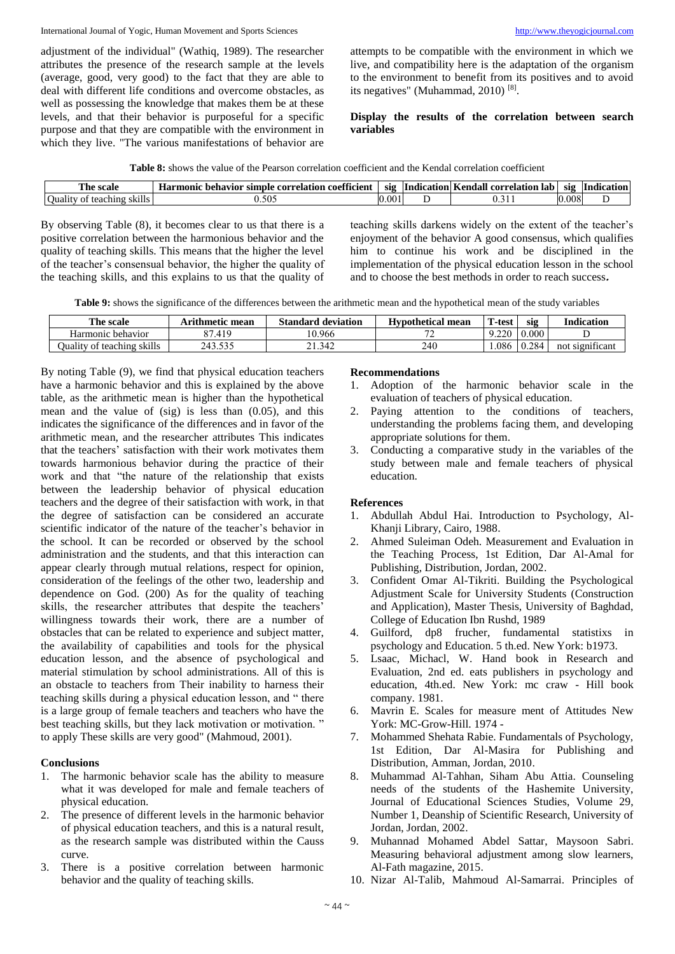adjustment of the individual" (Wathiq, 1989). The researcher attributes the presence of the research sample at the levels (average, good, very good) to the fact that they are able to deal with different life conditions and overcome obstacles, as well as possessing the knowledge that makes them be at these levels, and that their behavior is purposeful for a specific purpose and that they are compatible with the environment in which they live. "The various manifestations of behavior are

attempts to be compatible with the environment in which we live, and compatibility here is the adaptation of the organism to the environment to benefit from its positives and to avoid its negatives" (Muhammad, 2010)<sup>[8]</sup>.

# **Display the results of the correlation between search variables**

| <b>CONTRACTOR</b><br>r pe<br>. ceal6<br>эсан     | $\overline{a}$<br>$-$<br>coetti<br>etticient<br>Harmonic<br>. behavior<br>mple<br>cori<br>sır<br>.10N<br>relatı | <b>S12</b> | $\bullet$<br>Inc<br>dication | rendal.<br>correlation<br>lat<br>n | <b>S12</b> | $\bullet$<br>Indication |
|--------------------------------------------------|-----------------------------------------------------------------------------------------------------------------|------------|------------------------------|------------------------------------|------------|-------------------------|
| <br>$\sim$<br>SK1IIS<br>Jualıt<br>teaching<br>Ωt | $-\alpha$ .<br>$\lambda$<br>                                                                                    | 0.00       |                              | $\overline{ }$                     | .008       |                         |

By observing Table (8), it becomes clear to us that there is a positive correlation between the harmonious behavior and the quality of teaching skills. This means that the higher the level of the teacher's consensual behavior, the higher the quality of the teaching skills, and this explains to us that the quality of

teaching skills darkens widely on the extent of the teacher's enjoyment of the behavior A good consensus, which qualifies him to continue his work and be disciplined in the implementation of the physical education lesson in the school and to choose the best methods in order to reach success**.**

**Table 9:** shows the significance of the differences between the arithmetic mean and the hypothetical mean of the study variables

| The scale                         | Arithmetic mean | <b>Standard deviation</b> | <b>Hypothetical mean</b> | T-test | SI2   | <b>Indication</b>  |
|-----------------------------------|-----------------|---------------------------|--------------------------|--------|-------|--------------------|
| Harmonic<br>: behavior            | oπ<br>.419      | 0.966                     |                          | $-220$ | 0.000 |                    |
| <b>Ouality of teaching skills</b> | 243.535<br>525  | 21.342                    | 240                      | 1.086  | 0.284 | significant<br>not |

By noting Table (9), we find that physical education teachers have a harmonic behavior and this is explained by the above table, as the arithmetic mean is higher than the hypothetical mean and the value of (sig) is less than (0.05), and this indicates the significance of the differences and in favor of the arithmetic mean, and the researcher attributes This indicates that the teachers' satisfaction with their work motivates them towards harmonious behavior during the practice of their work and that "the nature of the relationship that exists between the leadership behavior of physical education teachers and the degree of their satisfaction with work, in that the degree of satisfaction can be considered an accurate scientific indicator of the nature of the teacher's behavior in the school. It can be recorded or observed by the school administration and the students, and that this interaction can appear clearly through mutual relations, respect for opinion, consideration of the feelings of the other two, leadership and dependence on God. (200) As for the quality of teaching skills, the researcher attributes that despite the teachers' willingness towards their work, there are a number of obstacles that can be related to experience and subject matter, the availability of capabilities and tools for the physical education lesson, and the absence of psychological and material stimulation by school administrations. All of this is an obstacle to teachers from Their inability to harness their teaching skills during a physical education lesson, and " there is a large group of female teachers and teachers who have the best teaching skills, but they lack motivation or motivation. " to apply These skills are very good" (Mahmoud, 2001).

# **Conclusions**

- 1. The harmonic behavior scale has the ability to measure what it was developed for male and female teachers of physical education.
- 2. The presence of different levels in the harmonic behavior of physical education teachers, and this is a natural result, as the research sample was distributed within the Causs curve.
- 3. There is a positive correlation between harmonic behavior and the quality of teaching skills.

## **Recommendations**

- 1. Adoption of the harmonic behavior scale in the evaluation of teachers of physical education.
- 2. Paying attention to the conditions of teachers, understanding the problems facing them, and developing appropriate solutions for them.
- 3. Conducting a comparative study in the variables of the study between male and female teachers of physical education.

# **References**

- 1. Abdullah Abdul Hai. Introduction to Psychology, Al-Khanji Library, Cairo, 1988.
- 2. Ahmed Suleiman Odeh. Measurement and Evaluation in the Teaching Process, 1st Edition, Dar Al-Amal for Publishing, Distribution, Jordan, 2002.
- 3. Confident Omar Al-Tikriti. Building the Psychological Adjustment Scale for University Students (Construction and Application), Master Thesis, University of Baghdad, College of Education Ibn Rushd, 1989
- 4. Guilford, dp8 frucher, fundamental statistixs in psychology and Education. 5 th.ed. New York: b1973.
- 5. Lsaac, Michacl, W. Hand book in Research and Evaluation, 2nd ed. eats publishers in psychology and education, 4th.ed. New York: mc craw - Hill book company. 1981.
- 6. Mavrin E. Scales for measure ment of Attitudes New York: MC-Grow-Hill. 1974 -
- 7. Mohammed Shehata Rabie. Fundamentals of Psychology, 1st Edition, Dar Al-Masira for Publishing and Distribution, Amman, Jordan, 2010.
- 8. Muhammad Al-Tahhan, Siham Abu Attia. Counseling needs of the students of the Hashemite University, Journal of Educational Sciences Studies, Volume 29, Number 1, Deanship of Scientific Research, University of Jordan, Jordan, 2002.
- 9. Muhannad Mohamed Abdel Sattar, Maysoon Sabri. Measuring behavioral adjustment among slow learners, Al-Fath magazine, 2015.
- 10. Nizar Al-Talib, Mahmoud Al-Samarrai. Principles of